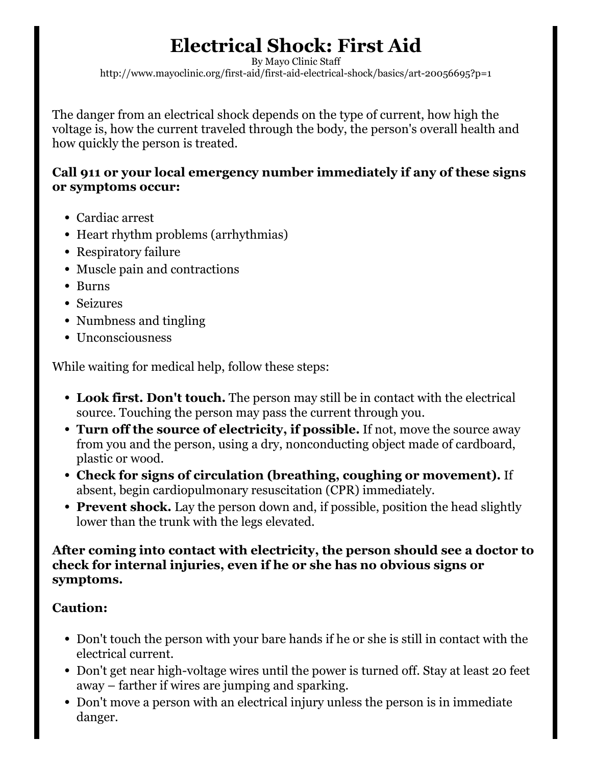# Electrical Shock: First Aid

By Mayo Clinic Staff http://www.mayoclinic.org/first-aid/first-aid-electrical-shock/basics/art-20056695?p=1

The danger from an electrical shock depends on the type of current, how high the voltage is, how the current traveled through the body, the person's overall health and how quickly the person is treated.

### Call 911 or your local emergency number immediately if any of these signs or symptoms occur:

- Cardiac arrest
- Heart rhythm problems (arrhythmias)
- Respiratory failure
- Muscle pain and contractions
- Burns
- Seizures
- Numbness and tingling
- Unconsciousness

While waiting for medical help, follow these steps:

- Look first. Don't touch. The person may still be in contact with the electrical source. Touching the person may pass the current through you.
- Turn off the source of electricity, if possible. If not, move the source away from you and the person, using a dry, nonconducting object made of cardboard, plastic or wood.
- Check for signs of circulation (breathing, coughing or movement). If absent, begin cardiopulmonary resuscitation (CPR) immediately.
- Prevent shock. Lay the person down and, if possible, position the head slightly lower than the trunk with the legs elevated.

#### After coming into contact with electricity, the person should see a doctor to check for internal injuries, even if he or she has no obvious signs or symptoms.

## Caution:

- Don't touch the person with your bare hands if he or she is still in contact with the electrical current.
- Don't get near high-voltage wires until the power is turned off. Stay at least 20 feet away – farther if wires are jumping and sparking.
- Don't move a person with an electrical injury unless the person is in immediate danger.